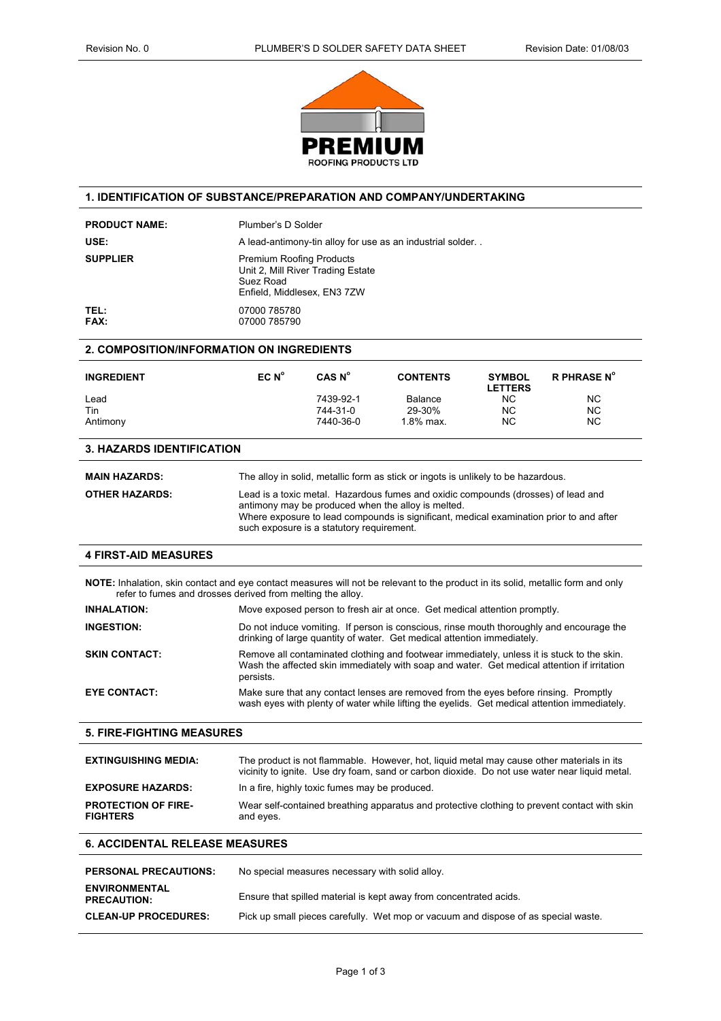

### **1. IDENTIFICATION OF SUBSTANCE/PREPARATION AND COMPANY/UNDERTAKING**

| <b>PRODUCT NAME:</b>                                                                                                                                                                           | Plumber's D Solder                                                                                                                                                                                     |                                                 |                                                                                           |                                 |                                                                                               |
|------------------------------------------------------------------------------------------------------------------------------------------------------------------------------------------------|--------------------------------------------------------------------------------------------------------------------------------------------------------------------------------------------------------|-------------------------------------------------|-------------------------------------------------------------------------------------------|---------------------------------|-----------------------------------------------------------------------------------------------|
| USE:                                                                                                                                                                                           |                                                                                                                                                                                                        |                                                 |                                                                                           |                                 |                                                                                               |
|                                                                                                                                                                                                | A lead-antimony-tin alloy for use as an industrial solder                                                                                                                                              |                                                 |                                                                                           |                                 |                                                                                               |
| <b>SUPPLIER</b>                                                                                                                                                                                | <b>Premium Roofing Products</b><br>Unit 2, Mill River Trading Estate<br>Suez Road<br>Enfield, Middlesex, EN3 7ZW                                                                                       |                                                 |                                                                                           |                                 |                                                                                               |
| TEL:<br><b>FAX:</b>                                                                                                                                                                            | 07000 785780<br>07000 785790                                                                                                                                                                           |                                                 |                                                                                           |                                 |                                                                                               |
| 2. COMPOSITION/INFORMATION ON INGREDIENTS                                                                                                                                                      |                                                                                                                                                                                                        |                                                 |                                                                                           |                                 |                                                                                               |
| <b>INGREDIENT</b>                                                                                                                                                                              | $ECN^{\circ}$                                                                                                                                                                                          | CAS N <sup>o</sup>                              | <b>CONTENTS</b>                                                                           | <b>SYMBOL</b><br><b>LETTERS</b> | <b>R PHRASE N°</b>                                                                            |
| Lead                                                                                                                                                                                           |                                                                                                                                                                                                        | 7439-92-1                                       | Balance                                                                                   | <b>NC</b>                       | <b>NC</b>                                                                                     |
| Tin                                                                                                                                                                                            |                                                                                                                                                                                                        | 744-31-0                                        | 29-30%<br>1.8% max.                                                                       | <b>NC</b>                       | <b>NC</b>                                                                                     |
| Antimony                                                                                                                                                                                       |                                                                                                                                                                                                        | 7440-36-0                                       |                                                                                           | <b>NC</b>                       | <b>NC</b>                                                                                     |
| <b>3. HAZARDS IDENTIFICATION</b>                                                                                                                                                               |                                                                                                                                                                                                        |                                                 |                                                                                           |                                 |                                                                                               |
| <b>MAIN HAZARDS:</b>                                                                                                                                                                           |                                                                                                                                                                                                        |                                                 | The alloy in solid, metallic form as stick or ingots is unlikely to be hazardous.         |                                 |                                                                                               |
| <b>OTHER HAZARDS:</b>                                                                                                                                                                          |                                                                                                                                                                                                        |                                                 | Lead is a toxic metal. Hazardous fumes and oxidic compounds (drosses) of lead and         |                                 |                                                                                               |
|                                                                                                                                                                                                | antimony may be produced when the alloy is melted.<br>Where exposure to lead compounds is significant, medical examination prior to and after<br>such exposure is a statutory requirement.             |                                                 |                                                                                           |                                 |                                                                                               |
| <b>4 FIRST-AID MEASURES</b>                                                                                                                                                                    |                                                                                                                                                                                                        |                                                 |                                                                                           |                                 |                                                                                               |
| NOTE: Inhalation, skin contact and eye contact measures will not be relevant to the product in its solid, metallic form and only<br>refer to fumes and drosses derived from melting the alloy. |                                                                                                                                                                                                        |                                                 |                                                                                           |                                 |                                                                                               |
| <b>INHALATION:</b>                                                                                                                                                                             | Move exposed person to fresh air at once. Get medical attention promptly.                                                                                                                              |                                                 |                                                                                           |                                 |                                                                                               |
| <b>INGESTION:</b>                                                                                                                                                                              | Do not induce vomiting. If person is conscious, rinse mouth thoroughly and encourage the<br>drinking of large quantity of water. Get medical attention immediately.                                    |                                                 |                                                                                           |                                 |                                                                                               |
| <b>SKIN CONTACT:</b>                                                                                                                                                                           | Remove all contaminated clothing and footwear immediately, unless it is stuck to the skin.<br>Wash the affected skin immediately with soap and water. Get medical attention if irritation<br>persists. |                                                 |                                                                                           |                                 |                                                                                               |
| <b>EYE CONTACT:</b>                                                                                                                                                                            | Make sure that any contact lenses are removed from the eyes before rinsing. Promptly<br>wash eyes with plenty of water while lifting the eyelids. Get medical attention immediately.                   |                                                 |                                                                                           |                                 |                                                                                               |
| <b>5. FIRE-FIGHTING MEASURES</b>                                                                                                                                                               |                                                                                                                                                                                                        |                                                 |                                                                                           |                                 |                                                                                               |
| <b>EXTINGUISHING MEDIA:</b>                                                                                                                                                                    |                                                                                                                                                                                                        |                                                 | The product is not flammable. However, hot, liquid metal may cause other materials in its |                                 | vicinity to ignite. Use dry foam, sand or carbon dioxide. Do not use water near liquid metal. |
| <b>EXPOSURE HAZARDS:</b>                                                                                                                                                                       | In a fire, highly toxic fumes may be produced.                                                                                                                                                         |                                                 |                                                                                           |                                 |                                                                                               |
| <b>PROTECTION OF FIRE-</b><br><b>FIGHTERS</b>                                                                                                                                                  | and eyes.                                                                                                                                                                                              |                                                 |                                                                                           |                                 | Wear self-contained breathing apparatus and protective clothing to prevent contact with skin  |
| <b>6. ACCIDENTAL RELEASE MEASURES</b>                                                                                                                                                          |                                                                                                                                                                                                        |                                                 |                                                                                           |                                 |                                                                                               |
| <b>PERSONAL PRECAUTIONS:</b>                                                                                                                                                                   |                                                                                                                                                                                                        | No special measures necessary with solid alloy. |                                                                                           |                                 |                                                                                               |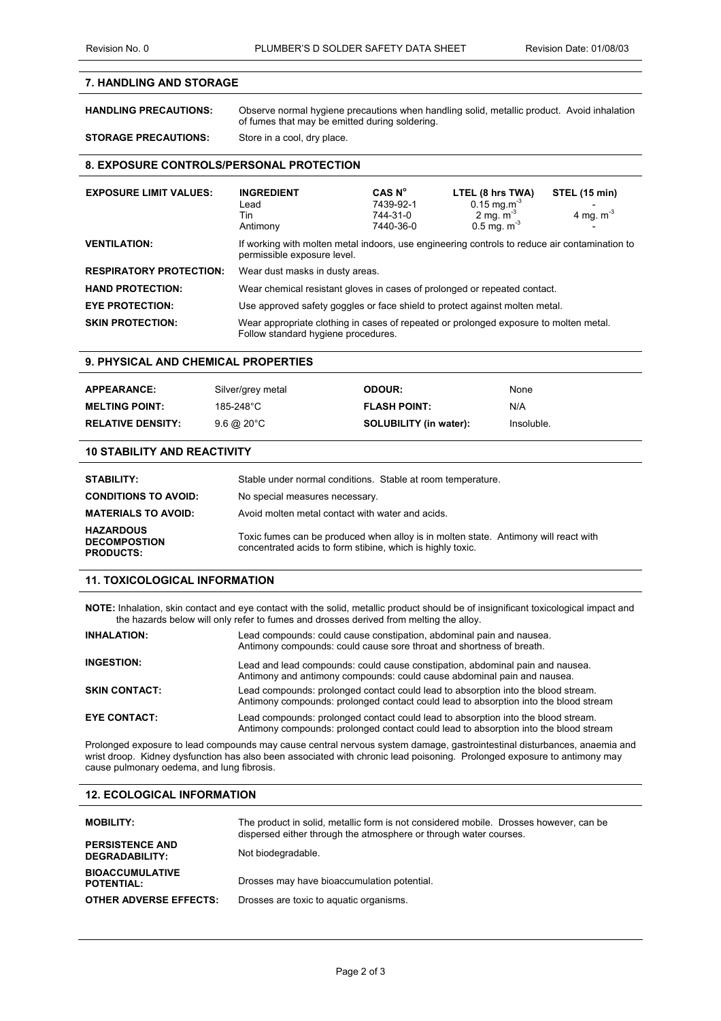# **7. HANDLING AND STORAGE**

**HANDLING PRECAUTIONS:** Observe normal hygiene precautions when handling solid, metallic product. Avoid inhalation of fumes that may be emitted during soldering. **STORAGE PRECAUTIONS:** Store in a cool, dry place.

# **8. EXPOSURE CONTROLS/PERSONAL PROTECTION**

| <b>EXPOSURE LIMIT VALUES:</b>  | <b>INGREDIENT</b><br>Lead<br>Tin<br>Antimony                                                                                 | CAS N <sup>o</sup><br>7439-92-1<br>744-31-0<br>7440-36-0 | LTEL (8 hrs TWA)<br>$0.15$ mg.m <sup>-3</sup><br>2 mg. $m^{-3}$<br>$0.5$ mg. m <sup>-3</sup> | STEL (15 min)<br>4 mg. $m-3$ |
|--------------------------------|------------------------------------------------------------------------------------------------------------------------------|----------------------------------------------------------|----------------------------------------------------------------------------------------------|------------------------------|
| <b>VENTILATION:</b>            | If working with molten metal indoors, use engineering controls to reduce air contamination to<br>permissible exposure level. |                                                          |                                                                                              |                              |
| <b>RESPIRATORY PROTECTION:</b> | Wear dust masks in dusty areas.                                                                                              |                                                          |                                                                                              |                              |
| <b>HAND PROTECTION:</b>        | Wear chemical resistant gloves in cases of prolonged or repeated contact.                                                    |                                                          |                                                                                              |                              |
| <b>EYE PROTECTION:</b>         | Use approved safety goggles or face shield to protect against molten metal.                                                  |                                                          |                                                                                              |                              |
| <b>SKIN PROTECTION:</b>        | Wear appropriate clothing in cases of repeated or prolonged exposure to molten metal.<br>Follow standard hygiene procedures. |                                                          |                                                                                              |                              |

#### **9. PHYSICAL AND CHEMICAL PROPERTIES**

| <b>APPEARANCE:</b>       | Silver/grey metal     | <b>ODOUR:</b>                 | None       |
|--------------------------|-----------------------|-------------------------------|------------|
| <b>MELTING POINT:</b>    | 185-248°C             | <b>FLASH POINT:</b>           | N/A        |
| <b>RELATIVE DENSITY:</b> | $9.6 \ @ 20^{\circ}C$ | <b>SOLUBILITY (in water):</b> | Insoluble. |

#### **10 STABILITY AND REACTIVITY**

| STABILITY:                                                  | Stable under normal conditions. Stable at room temperature.                                                                                       |
|-------------------------------------------------------------|---------------------------------------------------------------------------------------------------------------------------------------------------|
| <b>CONDITIONS TO AVOID:</b>                                 | No special measures necessary.                                                                                                                    |
| <b>MATERIALS TO AVOID:</b>                                  | Avoid molten metal contact with water and acids.                                                                                                  |
| <b>HAZARDOUS</b><br><b>DECOMPOSTION</b><br><b>PRODUCTS:</b> | Toxic fumes can be produced when alloy is in molten state. Antimony will react with<br>concentrated acids to form stibine, which is highly toxic. |

### **11. TOXICOLOGICAL INFORMATION**

**NOTE:** Inhalation, skin contact and eye contact with the solid, metallic product should be of insignificant toxicological impact and the hazards below will only refer to fumes and drosses derived from melting the alloy.

| <b>INHALATION:</b>   | Lead compounds: could cause constipation, abdominal pain and nausea.<br>Antimony compounds: could cause sore throat and shortness of breath.                              |
|----------------------|---------------------------------------------------------------------------------------------------------------------------------------------------------------------------|
| <b>INGESTION:</b>    | Lead and lead compounds: could cause constipation, abdominal pain and nausea.<br>Antimony and antimony compounds: could cause abdominal pain and nausea.                  |
| <b>SKIN CONTACT:</b> | Lead compounds: prolonged contact could lead to absorption into the blood stream.<br>Antimony compounds: prolonged contact could lead to absorption into the blood stream |
| <b>EYE CONTACT:</b>  | Lead compounds: prolonged contact could lead to absorption into the blood stream.<br>Antimony compounds: prolonged contact could lead to absorption into the blood stream |

Prolonged exposure to lead compounds may cause central nervous system damage, gastrointestinal disturbances, anaemia and wrist droop. Kidney dysfunction has also been associated with chronic lead poisoning. Prolonged exposure to antimony may cause pulmonary oedema, and lung fibrosis.

# **12. ECOLOGICAL INFORMATION**

| <b>MOBILITY:</b>                                | The product in solid, metallic form is not considered mobile. Drosses however, can be<br>dispersed either through the atmosphere or through water courses. |
|-------------------------------------------------|------------------------------------------------------------------------------------------------------------------------------------------------------------|
| <b>PERSISTENCE AND</b><br><b>DEGRADABILITY:</b> | Not biodegradable.                                                                                                                                         |
| <b>BIOACCUMULATIVE</b><br><b>POTENTIAL:</b>     | Drosses may have bioaccumulation potential.                                                                                                                |
| <b>OTHER ADVERSE EFFECTS:</b>                   | Drosses are toxic to aquatic organisms.                                                                                                                    |